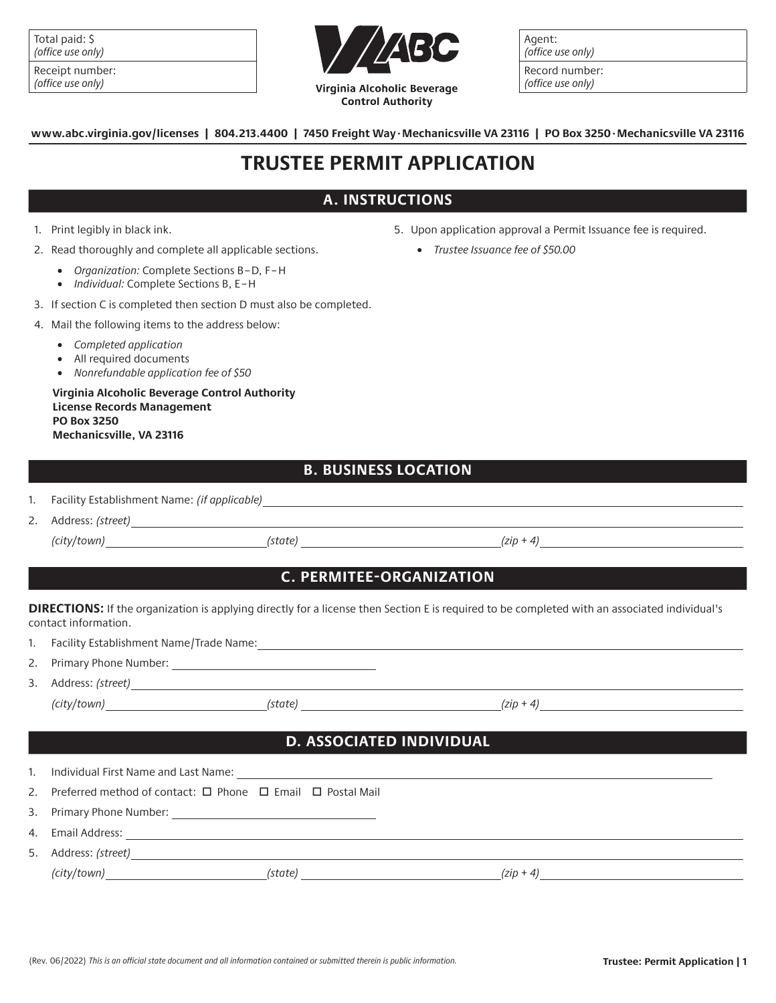| Total paid: \$    |  |
|-------------------|--|
| (office use only) |  |

| Receipt number:   |
|-------------------|
| (office use only) |



Agent: (office use only)

Record number: (office use only)

**www.abc.virginia.gov/licenses | 804.213.4400 | 7450 Freight Way.Mechanicsville VA 23116 | PO Box 3250.Mechanicsville VA 23116**

# **TRUSTEE PERMIT APPLICATION**

## **A. INSTRUCTIONS**

- 1. Print legibly in black ink.
- 2. Read thoroughly and complete all applicable sections.
	- *Organization:* Complete Sections B–D, F–H
	- *Individual:* Complete Sections B, E–H
- 3. If section C is completed then section D must also be completed.
- 4. Mail the following items to the address below:
	- *Completed application*
	- All required documents
	- *Nonrefundable application fee of \$50*

**Virginia Alcoholic Beverage Control Authority License Records Management PO Box 3250 Mechanicsville, VA 23116**

- 5. Upon application approval a Permit Issuance fee is required.
	- *Trustee Issuance fee of \$50.00*

### **B. BUSINESS LOCATION**

- 1. Facility Establishment Name: *(if applicable)*
- 2. Address: *(street)*

*(city/town) (state) (zip + 4)*

# **C. PERMITEE-ORGANIZATION**

**DIRECTIONS:** If the organization is applying directly for a license then Section E is required to be completed with an associated individual's contact information.

- 1. Facility Establishment Name/Trade Name: Manual Manual Manual Manual Manual Manual Manual Manual Manual Manu
- 2. Primary Phone Number:
- 3. Address: *(street)*

*(city/town) (state) (zip + 4)*

# **D. ASSOCIATED INDIVIDUAL**

| 1. |                                                                                                                                                                |
|----|----------------------------------------------------------------------------------------------------------------------------------------------------------------|
| 2. | Preferred method of contact: $\Box$ Phone $\Box$ Email $\Box$ Postal Mail                                                                                      |
|    |                                                                                                                                                                |
| 4. | Email Address:<br>and the control of the control of the control of the control of the control of the control of the control of the                             |
|    | 5. Address: (street)                                                                                                                                           |
|    | (city/town)<br>(state)<br>$(zin + 4)$<br><u> 1980 - Jan Barbara Barbara, prima prima prima prima prima prima prima prima prima prima prima prima prima pri</u> |